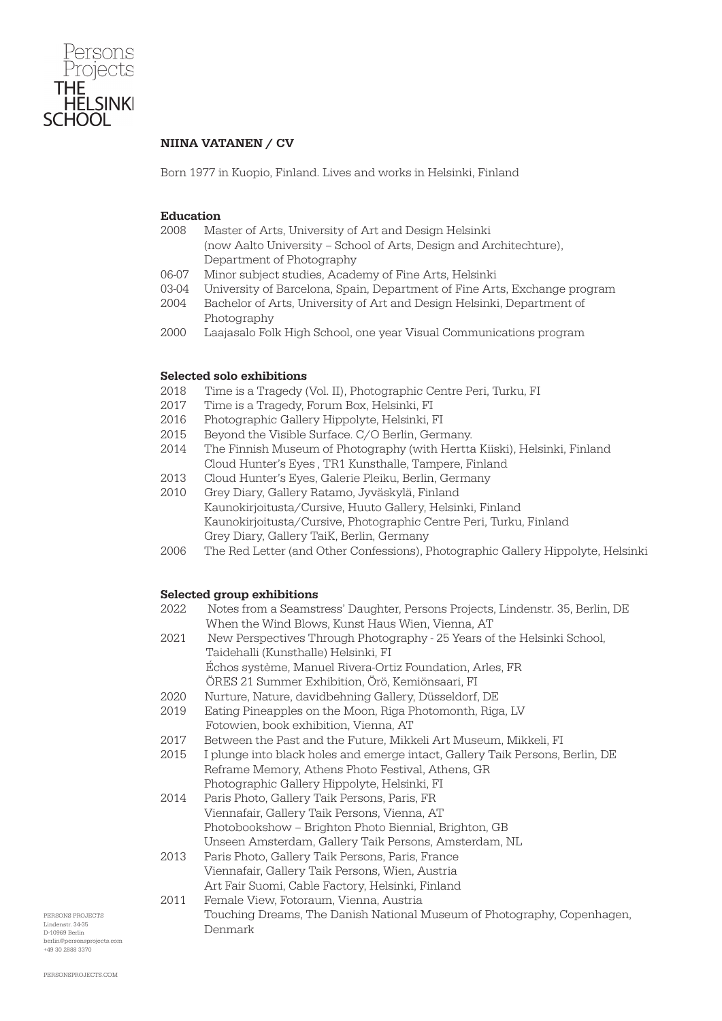

## NIINA VATANEN / CV

Born 1977 in Kuopio, Finland. Lives and works in Helsinki, Finland

### Education

- 2008 Master of Arts, University of Art and Design Helsinki (now Aalto University – School of Arts, Design and Architechture), Department of Photography
- 06-07 Minor subject studies, Academy of Fine Arts, Helsinki
- 03-04 University of Barcelona, Spain, Department of Fine Arts, Exchange program
- 2004 Bachelor of Arts, University of Art and Design Helsinki, Department of Photography
- 2000 Laajasalo Folk High School, one year Visual Communications program

### Selected solo exhibitions

- 2018 Time is a Tragedy (Vol. II), Photographic Centre Peri, Turku, FI
- 2017 Time is a Tragedy, Forum Box, Helsinki, FI
- 2016 Photographic Gallery Hippolyte, Helsinki, FI
- 2015 Beyond the Visible Surface. C/O Berlin, Germany.
- 2014 The Finnish Museum of Photography (with Hertta Kiiski), Helsinki, Finland Cloud Hunter's Eyes , TR1 Kunsthalle, Tampere, Finland
- 2013 Cloud Hunter's Eyes, Galerie Pleiku, Berlin, Germany
- 2010 Grey Diary, Gallery Ratamo, Jyväskylä, Finland Kaunokirjoitusta/Cursive, Huuto Gallery, Helsinki, Finland Kaunokirjoitusta/Cursive, Photographic Centre Peri, Turku, Finland Grey Diary, Gallery TaiK, Berlin, Germany
- 2006 The Red Letter (and Other Confessions), Photographic Gallery Hippolyte, Helsinki

### Selected group exhibitions

| 2022. | Notes from a Seamstress' Daughter, Persons Projects, Lindenstr. 35, Berlin, DE |
|-------|--------------------------------------------------------------------------------|
|       | When the Wind Blows, Kunst Haus Wien, Vienna, AT                               |
| 2021  | New Perspectives Through Photography - 25 Years of the Helsinki School,        |
|       | Taidehalli (Kunsthalle) Helsinki, FI                                           |
|       | Échos système, Manuel Rivera-Ortiz Foundation, Arles, FR                       |
|       | ÖRES 21 Summer Exhibition, Örö, Kemiönsaari, FI                                |
| 2020  | Nurture, Nature, davidbehning Gallery, Düsseldorf, DE                          |
| 2019  | Eating Pineapples on the Moon, Riga Photomonth, Riga, LV                       |
|       | Fotowien, book exhibition, Vienna, AT                                          |
| 2017  | Between the Past and the Future, Mikkeli Art Museum, Mikkeli, FI               |
| 2015  | I plunge into black holes and emerge intact, Gallery Taik Persons, Berlin, DE  |
|       | Reframe Memory, Athens Photo Festival, Athens, GR                              |
|       | Photographic Gallery Hippolyte, Helsinki, FI                                   |
| 2014  | Paris Photo, Gallery Taik Persons, Paris, FR                                   |
|       | Viennafair, Gallery Taik Persons, Vienna, AT                                   |
|       | Photobookshow – Brighton Photo Biennial, Brighton, GB                          |
|       | Unseen Amsterdam, Gallery Taik Persons, Amsterdam, NL                          |
| 2013  | Paris Photo, Gallery Taik Persons, Paris, France                               |
|       | Viennafair, Gallery Taik Persons, Wien, Austria                                |
|       | Art Fair Suomi, Cable Factory, Helsinki, Finland                               |
| 2011  | Female View, Fotoraum, Vienna, Austria                                         |
|       | Touching Dreams, The Danish National Museum of Photography, Copenhagen,        |
|       | Denmark                                                                        |

PERSONS PROJECTS Lindenstr. 34-35 D-10969 Berlin berlin@personsprojects.com +49 30 2888 3370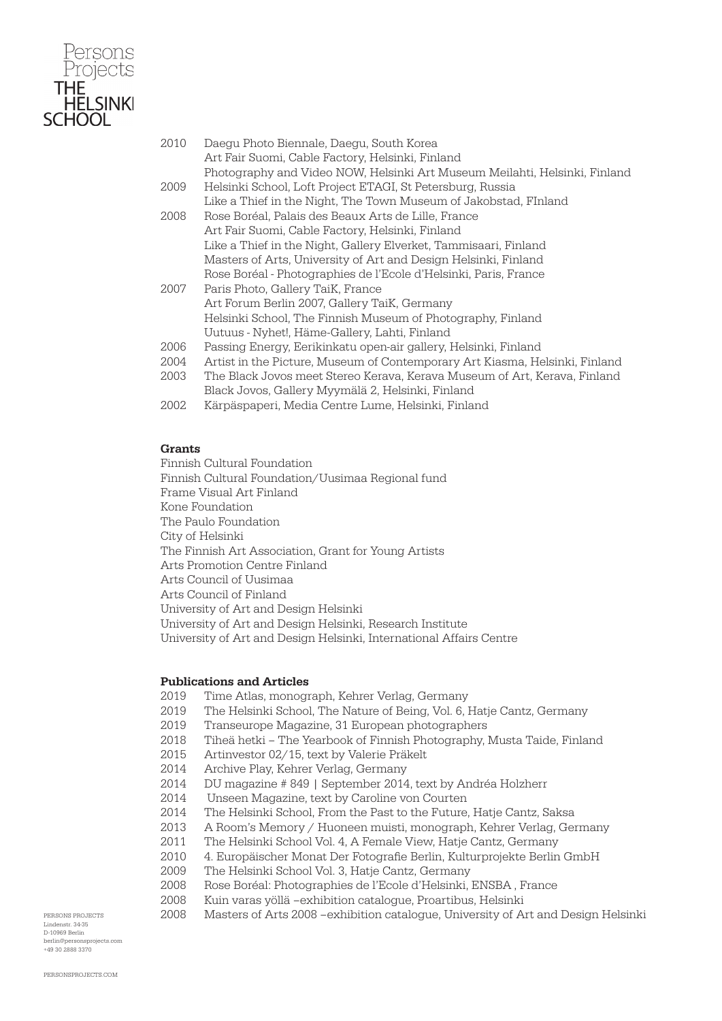

| 2010 | Daegu Photo Biennale, Daegu, South Korea<br>Art Fair Suomi, Cable Factory, Helsinki, Finland |
|------|----------------------------------------------------------------------------------------------|
|      | Photography and Video NOW, Helsinki Art Museum Meilahti, Helsinki, Finland                   |
| 2009 | Helsinki School, Loft Project ETAGI, St Petersburg, Russia                                   |
|      |                                                                                              |
|      | Like a Thief in the Night, The Town Museum of Jakobstad, FInland                             |
| 2008 | Rose Boréal, Palais des Beaux Arts de Lille, France                                          |
|      | Art Fair Suomi, Cable Factory, Helsinki, Finland                                             |
|      | Like a Thief in the Night, Gallery Elverket, Tammisaari, Finland                             |
|      | Masters of Arts, University of Art and Design Helsinki, Finland                              |
|      | Rose Boréal - Photographies de l'Ecole d'Helsinki, Paris, France                             |
| 2007 | Paris Photo, Gallery TaiK, France                                                            |
|      | Art Forum Berlin 2007, Gallery TaiK, Germany                                                 |
|      | Helsinki School, The Finnish Museum of Photography, Finland                                  |
|      | Uutuus - Nyhet!, Häme-Gallery, Lahti, Finland                                                |
| 2006 | Passing Energy, Eerikinkatu open-air gallery, Helsinki, Finland                              |
| 2004 | Artist in the Picture, Museum of Contemporary Art Kiasma, Helsinki, Finland                  |
| 2003 | The Black Jovos meet Stereo Kerava, Kerava Museum of Art, Kerava, Finland                    |
|      | Black Jovos, Gallery Myymälä 2, Helsinki, Finland                                            |
| 2002 | Kärpäspaperi, Media Centre Lume, Helsinki, Finland                                           |

## **Grants**

Finnish Cultural Foundation Finnish Cultural Foundation/Uusimaa Regional fund Frame Visual Art Finland Kone Foundation The Paulo Foundation City of Helsinki The Finnish Art Association, Grant for Young Artists Arts Promotion Centre Finland Arts Council of Uusimaa Arts Council of Finland University of Art and Design Helsinki University of Art and Design Helsinki, Research Institute University of Art and Design Helsinki, International Affairs Centre

### Publications and Articles

- 2019 Time Atlas, monograph, Kehrer Verlag, Germany
- 2019 The Helsinki School, The Nature of Being, Vol. 6, Hatje Cantz, Germany
- 2019 Transeurope Magazine, 31 European photographers
- 2018 Tiheä hetki The Yearbook of Finnish Photography, Musta Taide, Finland
- 2015 Artinvestor 02/15, text by Valerie Präkelt
- 2014 Archive Play, Kehrer Verlag, Germany
- 2014 DU magazine # 849 | September 2014, text by Andréa Holzherr
- 2014 Unseen Magazine, text by Caroline von Courten
- 2014 The Helsinki School, From the Past to the Future, Hatje Cantz, Saksa
- 2013 A Room's Memory / Huoneen muisti, monograph, Kehrer Verlag, Germany
- 2011 The Helsinki School Vol. 4, A Female View, Hatje Cantz, Germany
- 2010 4. Europäischer Monat Der Fotografie Berlin, Kulturprojekte Berlin GmbH
- 2009 The Helsinki School Vol. 3, Hatje Cantz, Germany
- 2008 Rose Boréal: Photographies de l'Ecole d'Helsinki, ENSBA , France
- 2008 Kuin varas yöllä –exhibition catalogue, Proartibus, Helsinki
- 2008 Masters of Arts 2008 –exhibition catalogue, University of Art and Design Helsinki

PERSONS PROJECTS Lindenstr. 34-35 D-10969 Berlin berlin@personsprojects.com +49 30 2888 3370